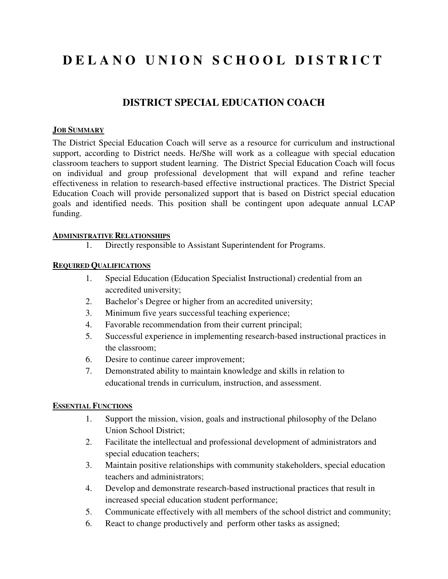# **D E L A N O U N I O N S C H O O L D I S T R I C T**

# **DISTRICT SPECIAL EDUCATION COACH**

#### **JOB SUMMARY**

The District Special Education Coach will serve as a resource for curriculum and instructional support, according to District needs. He/She will work as a colleague with special education classroom teachers to support student learning. The District Special Education Coach will focus on individual and group professional development that will expand and refine teacher effectiveness in relation to research-based effective instructional practices. The District Special Education Coach will provide personalized support that is based on District special education goals and identified needs. This position shall be contingent upon adequate annual LCAP funding.

#### **ADMINISTRATIVE RELATIONSHIPS**

1. Directly responsible to Assistant Superintendent for Programs.

# **REQUIRED QUALIFICATIONS**

- 1. Special Education (Education Specialist Instructional) credential from an accredited university;
- 2. Bachelor's Degree or higher from an accredited university;
- 3. Minimum five years successful teaching experience;
- 4. Favorable recommendation from their current principal;
- 5. Successful experience in implementing research-based instructional practices in the classroom;
- 6. Desire to continue career improvement;
- 7. Demonstrated ability to maintain knowledge and skills in relation to educational trends in curriculum, instruction, and assessment.

### **ESSENTIAL FUNCTIONS**

- 1. Support the mission, vision, goals and instructional philosophy of the Delano Union School District;
- 2. Facilitate the intellectual and professional development of administrators and special education teachers;
- 3. Maintain positive relationships with community stakeholders, special education teachers and administrators;
- 4. Develop and demonstrate research-based instructional practices that result in increased special education student performance;
- 5. Communicate effectively with all members of the school district and community;
- 6. React to change productively and perform other tasks as assigned;